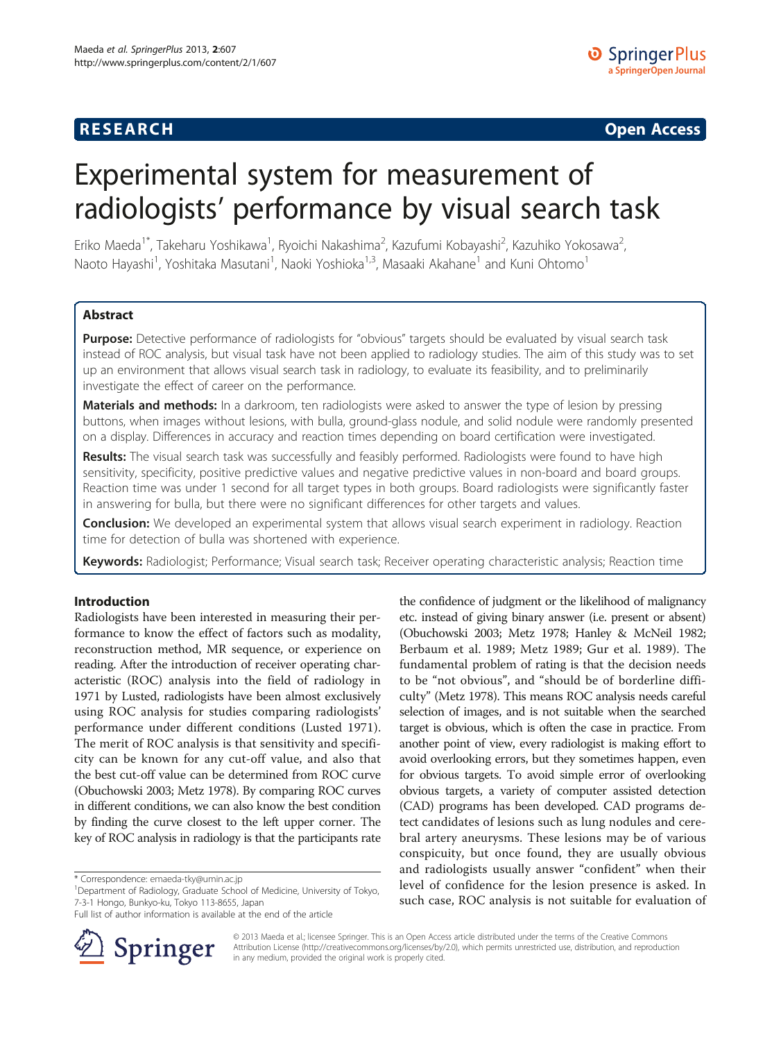# **RESEARCH RESEARCH CONSUMING ACCESS**

# Experimental system for measurement of radiologists' performance by visual search task

Eriko Maeda $^{\text{1}}$ ", Takeharu Yoshikawa $^{\text{1}}$ , Ryoichi Nakashima $^{\text{2}}$ , Kazufumi Kobayashi $^{\text{2}}$ , Kazuhiko Yokosawa $^{\text{2}}$ , Naoto Hayashi<sup>1</sup>, Yoshitaka Masutani<sup>1</sup>, Naoki Yoshioka<sup>1,3</sup>, Masaaki Akahane<sup>1</sup> and Kuni Ohtomo<sup>1</sup>

# Abstract

Purpose: Detective performance of radiologists for "obvious" targets should be evaluated by visual search task instead of ROC analysis, but visual task have not been applied to radiology studies. The aim of this study was to set up an environment that allows visual search task in radiology, to evaluate its feasibility, and to preliminarily investigate the effect of career on the performance.

Materials and methods: In a darkroom, ten radiologists were asked to answer the type of lesion by pressing buttons, when images without lesions, with bulla, ground-glass nodule, and solid nodule were randomly presented on a display. Differences in accuracy and reaction times depending on board certification were investigated.

Results: The visual search task was successfully and feasibly performed. Radiologists were found to have high sensitivity, specificity, positive predictive values and negative predictive values in non-board and board groups. Reaction time was under 1 second for all target types in both groups. Board radiologists were significantly faster in answering for bulla, but there were no significant differences for other targets and values.

**Conclusion:** We developed an experimental system that allows visual search experiment in radiology. Reaction time for detection of bulla was shortened with experience.

Keywords: Radiologist; Performance; Visual search task; Receiver operating characteristic analysis; Reaction time

# Introduction

Radiologists have been interested in measuring their performance to know the effect of factors such as modality, reconstruction method, MR sequence, or experience on reading. After the introduction of receiver operating characteristic (ROC) analysis into the field of radiology in 1971 by Lusted, radiologists have been almost exclusively using ROC analysis for studies comparing radiologists' performance under different conditions (Lusted [1971](#page-4-0)). The merit of ROC analysis is that sensitivity and specificity can be known for any cut-off value, and also that the best cut-off value can be determined from ROC curve (Obuchowski [2003;](#page-4-0) Metz [1978](#page-4-0)). By comparing ROC curves in different conditions, we can also know the best condition by finding the curve closest to the left upper corner. The key of ROC analysis in radiology is that the participants rate

Full list of author information is available at the end of the article



the confidence of judgment or the likelihood of malignancy etc. instead of giving binary answer (i.e. present or absent) (Obuchowski [2003;](#page-4-0) Metz [1978;](#page-4-0) Hanley & McNeil [1982](#page-4-0); Berbaum et al. [1989;](#page-4-0) Metz [1989;](#page-4-0) Gur et al. [1989\)](#page-4-0). The fundamental problem of rating is that the decision needs to be "not obvious", and "should be of borderline difficulty" (Metz [1978](#page-4-0)). This means ROC analysis needs careful selection of images, and is not suitable when the searched target is obvious, which is often the case in practice. From another point of view, every radiologist is making effort to avoid overlooking errors, but they sometimes happen, even for obvious targets. To avoid simple error of overlooking obvious targets, a variety of computer assisted detection (CAD) programs has been developed. CAD programs detect candidates of lesions such as lung nodules and cerebral artery aneurysms. These lesions may be of various conspicuity, but once found, they are usually obvious and radiologists usually answer "confident" when their level of confidence for the lesion presence is asked. In such case, ROC analysis is not suitable for evaluation of

© 2013 Maeda et al.; licensee Springer. This is an Open Access article distributed under the terms of the Creative Commons Attribution License [\(http://creativecommons.org/licenses/by/2.0\)](http://creativecommons.org/licenses/by/2.0), which permits unrestricted use, distribution, and reproduction in any medium, provided the original work is properly cited.

<sup>\*</sup> Correspondence: [emaeda-tky@umin.ac.jp](mailto:emaeda-tky@umin.ac.jp) <sup>1</sup>

<sup>&</sup>lt;sup>1</sup>Department of Radiology, Graduate School of Medicine, University of Tokyo, 7-3-1 Hongo, Bunkyo-ku, Tokyo 113-8655, Japan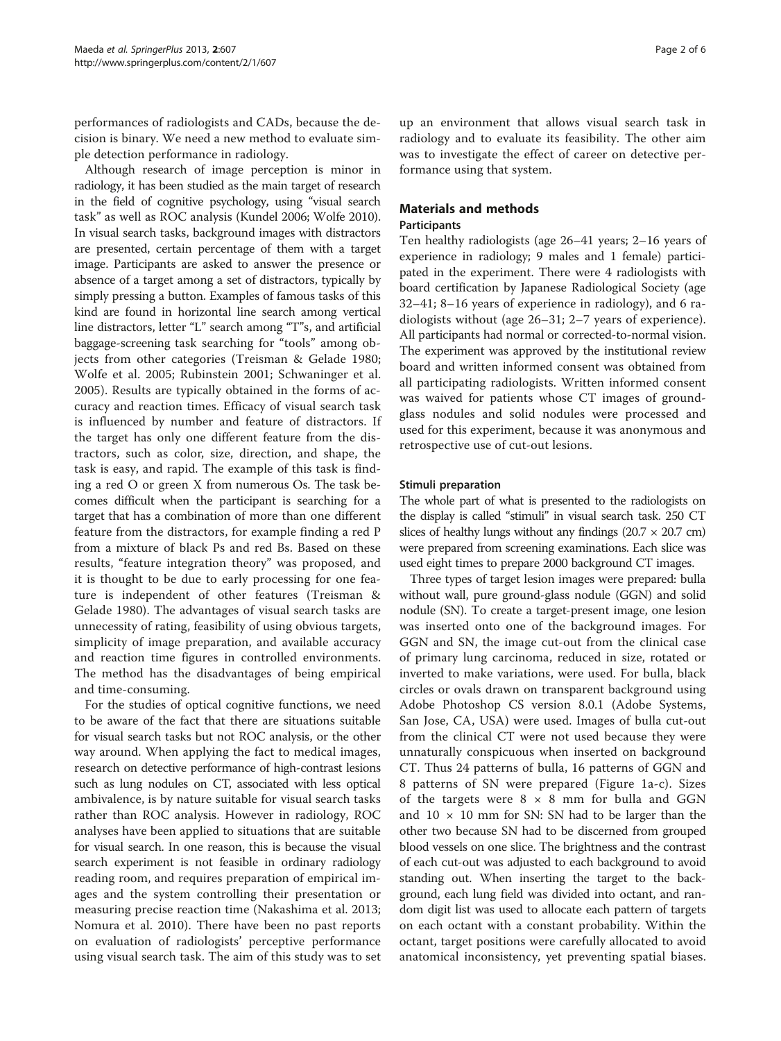performances of radiologists and CADs, because the decision is binary. We need a new method to evaluate simple detection performance in radiology.

Although research of image perception is minor in radiology, it has been studied as the main target of research in the field of cognitive psychology, using "visual search task" as well as ROC analysis (Kundel [2006](#page-4-0); Wolfe [2010](#page-4-0)). In visual search tasks, background images with distractors are presented, certain percentage of them with a target image. Participants are asked to answer the presence or absence of a target among a set of distractors, typically by simply pressing a button. Examples of famous tasks of this kind are found in horizontal line search among vertical line distractors, letter "L" search among "T"s, and artificial baggage-screening task searching for "tools" among objects from other categories (Treisman & Gelade [1980](#page-4-0); Wolfe et al. [2005](#page-5-0); Rubinstein [2001](#page-4-0); Schwaninger et al. [2005\)](#page-4-0). Results are typically obtained in the forms of accuracy and reaction times. Efficacy of visual search task is influenced by number and feature of distractors. If the target has only one different feature from the distractors, such as color, size, direction, and shape, the task is easy, and rapid. The example of this task is finding a red O or green X from numerous Os. The task becomes difficult when the participant is searching for a target that has a combination of more than one different feature from the distractors, for example finding a red P from a mixture of black Ps and red Bs. Based on these results, "feature integration theory" was proposed, and it is thought to be due to early processing for one feature is independent of other features (Treisman & Gelade [1980\)](#page-4-0). The advantages of visual search tasks are unnecessity of rating, feasibility of using obvious targets, simplicity of image preparation, and available accuracy and reaction time figures in controlled environments. The method has the disadvantages of being empirical and time-consuming.

For the studies of optical cognitive functions, we need to be aware of the fact that there are situations suitable for visual search tasks but not ROC analysis, or the other way around. When applying the fact to medical images, research on detective performance of high-contrast lesions such as lung nodules on CT, associated with less optical ambivalence, is by nature suitable for visual search tasks rather than ROC analysis. However in radiology, ROC analyses have been applied to situations that are suitable for visual search. In one reason, this is because the visual search experiment is not feasible in ordinary radiology reading room, and requires preparation of empirical images and the system controlling their presentation or measuring precise reaction time (Nakashima et al. [2013](#page-4-0); Nomura et al. [2010](#page-4-0)). There have been no past reports on evaluation of radiologists' perceptive performance using visual search task. The aim of this study was to set

up an environment that allows visual search task in radiology and to evaluate its feasibility. The other aim was to investigate the effect of career on detective performance using that system.

# Materials and methods

#### Participants

Ten healthy radiologists (age 26–41 years; 2–16 years of experience in radiology; 9 males and 1 female) participated in the experiment. There were 4 radiologists with board certification by Japanese Radiological Society (age 32–41; 8–16 years of experience in radiology), and 6 radiologists without (age 26–31; 2–7 years of experience). All participants had normal or corrected-to-normal vision. The experiment was approved by the institutional review board and written informed consent was obtained from all participating radiologists. Written informed consent was waived for patients whose CT images of groundglass nodules and solid nodules were processed and used for this experiment, because it was anonymous and retrospective use of cut-out lesions.

#### Stimuli preparation

The whole part of what is presented to the radiologists on the display is called "stimuli" in visual search task. 250 CT slices of healthy lungs without any findings  $(20.7 \times 20.7 \text{ cm})$ were prepared from screening examinations. Each slice was used eight times to prepare 2000 background CT images.

Three types of target lesion images were prepared: bulla without wall, pure ground-glass nodule (GGN) and solid nodule (SN). To create a target-present image, one lesion was inserted onto one of the background images. For GGN and SN, the image cut-out from the clinical case of primary lung carcinoma, reduced in size, rotated or inverted to make variations, were used. For bulla, black circles or ovals drawn on transparent background using Adobe Photoshop CS version 8.0.1 (Adobe Systems, San Jose, CA, USA) were used. Images of bulla cut-out from the clinical CT were not used because they were unnaturally conspicuous when inserted on background CT. Thus 24 patterns of bulla, 16 patterns of GGN and 8 patterns of SN were prepared (Figure [1](#page-2-0)a-c). Sizes of the targets were  $8 \times 8$  mm for bulla and GGN and  $10 \times 10$  mm for SN: SN had to be larger than the other two because SN had to be discerned from grouped blood vessels on one slice. The brightness and the contrast of each cut-out was adjusted to each background to avoid standing out. When inserting the target to the background, each lung field was divided into octant, and random digit list was used to allocate each pattern of targets on each octant with a constant probability. Within the octant, target positions were carefully allocated to avoid anatomical inconsistency, yet preventing spatial biases.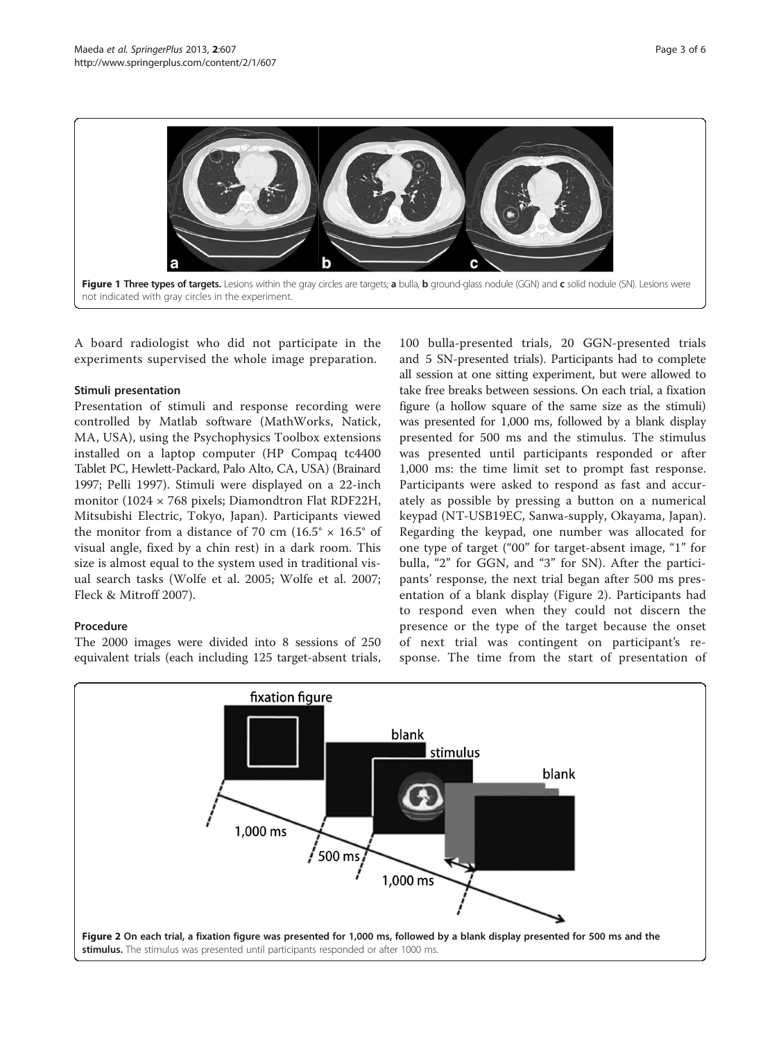<span id="page-2-0"></span>

A board radiologist who did not participate in the experiments supervised the whole image preparation.

# Stimuli presentation

Presentation of stimuli and response recording were controlled by Matlab software (MathWorks, Natick, MA, USA), using the Psychophysics Toolbox extensions installed on a laptop computer (HP Compaq tc4400 Tablet PC, Hewlett-Packard, Palo Alto, CA, USA) (Brainard [1997;](#page-4-0) Pelli [1997](#page-4-0)). Stimuli were displayed on a 22-inch monitor (1024 × 768 pixels; Diamondtron Flat RDF22H, Mitsubishi Electric, Tokyo, Japan). Participants viewed the monitor from a distance of 70 cm  $(16.5^\circ \times 16.5^\circ \text{ of}$ visual angle, fixed by a chin rest) in a dark room. This size is almost equal to the system used in traditional visual search tasks (Wolfe et al. [2005](#page-5-0); Wolfe et al. [2007](#page-5-0); Fleck & Mitroff [2007\)](#page-4-0).

# Procedure

The 2000 images were divided into 8 sessions of 250 equivalent trials (each including 125 target-absent trials,

100 bulla-presented trials, 20 GGN-presented trials and 5 SN-presented trials). Participants had to complete all session at one sitting experiment, but were allowed to take free breaks between sessions. On each trial, a fixation figure (a hollow square of the same size as the stimuli) was presented for 1,000 ms, followed by a blank display presented for 500 ms and the stimulus. The stimulus was presented until participants responded or after 1,000 ms: the time limit set to prompt fast response. Participants were asked to respond as fast and accurately as possible by pressing a button on a numerical keypad (NT-USB19EC, Sanwa-supply, Okayama, Japan). Regarding the keypad, one number was allocated for one type of target ("00" for target-absent image, "1" for bulla, "2" for GGN, and "3" for SN). After the participants' response, the next trial began after 500 ms presentation of a blank display (Figure 2). Participants had to respond even when they could not discern the presence or the type of the target because the onset of next trial was contingent on participant's response. The time from the start of presentation of

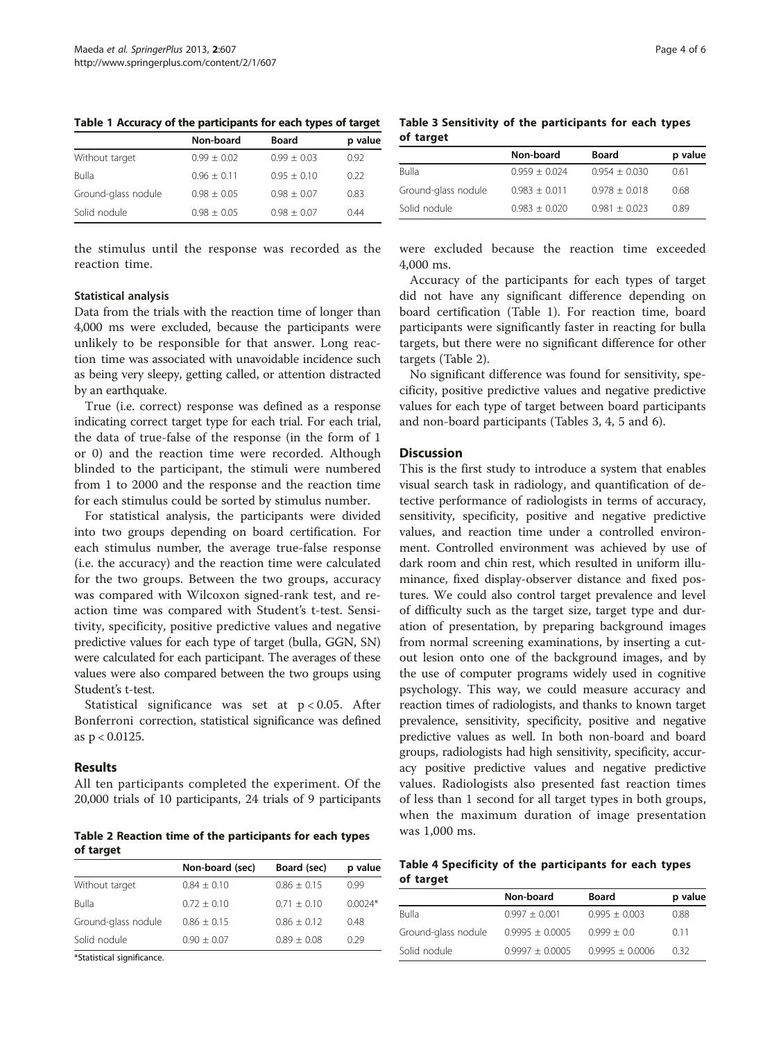| Table 1 Accuracy of the participants for each types of target |  |  |  |
|---------------------------------------------------------------|--|--|--|
|---------------------------------------------------------------|--|--|--|

|                     | Non-board     | <b>Board</b>  | p value |
|---------------------|---------------|---------------|---------|
| Without target      | $0.99 + 0.02$ | $0.99 + 0.03$ | 0.92    |
| Bulla               | $0.96 + 0.11$ | $0.95 + 0.10$ | 0.22    |
| Ground-glass nodule | $0.98 + 0.05$ | $0.98 + 0.07$ | 0.83    |
| Solid nodule        | $0.98 + 0.05$ | $0.98 + 0.07$ | 0.44    |

the stimulus until the response was recorded as the reaction time.

## Statistical analysis

Data from the trials with the reaction time of longer than 4,000 ms were excluded, because the participants were unlikely to be responsible for that answer. Long reaction time was associated with unavoidable incidence such as being very sleepy, getting called, or attention distracted by an earthquake.

True (i.e. correct) response was defined as a response indicating correct target type for each trial. For each trial, the data of true-false of the response (in the form of 1 or 0) and the reaction time were recorded. Although blinded to the participant, the stimuli were numbered from 1 to 2000 and the response and the reaction time for each stimulus could be sorted by stimulus number.

For statistical analysis, the participants were divided into two groups depending on board certification. For each stimulus number, the average true-false response (i.e. the accuracy) and the reaction time were calculated for the two groups. Between the two groups, accuracy was compared with Wilcoxon signed-rank test, and reaction time was compared with Student's t-test. Sensitivity, specificity, positive predictive values and negative predictive values for each type of target (bulla, GGN, SN) were calculated for each participant. The averages of these values were also compared between the two groups using Student's t-test.

Statistical significance was set at p < 0.05. After Bonferroni correction, statistical significance was defined as p < 0.0125.

#### Results

All ten participants completed the experiment. Of the 20,000 trials of 10 participants, 24 trials of 9 participants

Table 2 Reaction time of the participants for each types of target

|                     | Non-board (sec) | Board (sec)   | p value   |
|---------------------|-----------------|---------------|-----------|
| Without target      | $0.84 + 0.10$   | $0.86 + 0.15$ | 0.99      |
| Bulla               | $0.72 + 0.10$   | $0.71 + 0.10$ | $0.0024*$ |
| Ground-glass nodule | $0.86 + 0.15$   | $0.86 + 0.12$ | 0.48      |
| Solid nodule        | $0.90 + 0.07$   | $0.89 + 0.08$ | 0.29      |
|                     |                 |               |           |

\*Statistical significance.

Table 3 Sensitivity of the participants for each types of target

|                     | Non-board       | Board           | p value |
|---------------------|-----------------|-----------------|---------|
| Bulla               | $0.959 + 0.024$ | $0.954 + 0.030$ | 0.61    |
| Ground-glass nodule | $0.983 + 0.011$ | $0.978 + 0.018$ | 0.68    |
| Solid nodule        | $0.983 + 0.020$ | $0.981 + 0.023$ | 0.89    |

were excluded because the reaction time exceeded 4,000 ms.

Accuracy of the participants for each types of target did not have any significant difference depending on board certification (Table 1). For reaction time, board participants were significantly faster in reacting for bulla targets, but there were no significant difference for other targets (Table 2).

No significant difference was found for sensitivity, specificity, positive predictive values and negative predictive values for each type of target between board participants and non-board participants (Tables 3, 4, [5](#page-4-0) and [6](#page-4-0)).

#### **Discussion**

This is the first study to introduce a system that enables visual search task in radiology, and quantification of detective performance of radiologists in terms of accuracy, sensitivity, specificity, positive and negative predictive values, and reaction time under a controlled environment. Controlled environment was achieved by use of dark room and chin rest, which resulted in uniform illuminance, fixed display-observer distance and fixed postures. We could also control target prevalence and level of difficulty such as the target size, target type and duration of presentation, by preparing background images from normal screening examinations, by inserting a cutout lesion onto one of the background images, and by the use of computer programs widely used in cognitive psychology. This way, we could measure accuracy and reaction times of radiologists, and thanks to known target prevalence, sensitivity, specificity, positive and negative predictive values as well. In both non-board and board groups, radiologists had high sensitivity, specificity, accuracy positive predictive values and negative predictive values. Radiologists also presented fast reaction times of less than 1 second for all target types in both groups, when the maximum duration of image presentation was 1,000 ms.

Table 4 Specificity of the participants for each types of target

|                     | Non-board           | <b>Board</b>        | p value |
|---------------------|---------------------|---------------------|---------|
| <b>Bulla</b>        | $0.997 + 0.001$     | $0.995 + 0.003$     | 0.88    |
| Ground-glass nodule | $0.9995 \pm 0.0005$ | $0.999 + 0.0$       | 011     |
| Solid nodule        | $0.9997 + 0.0005$   | $0.9995 \pm 0.0006$ | 032     |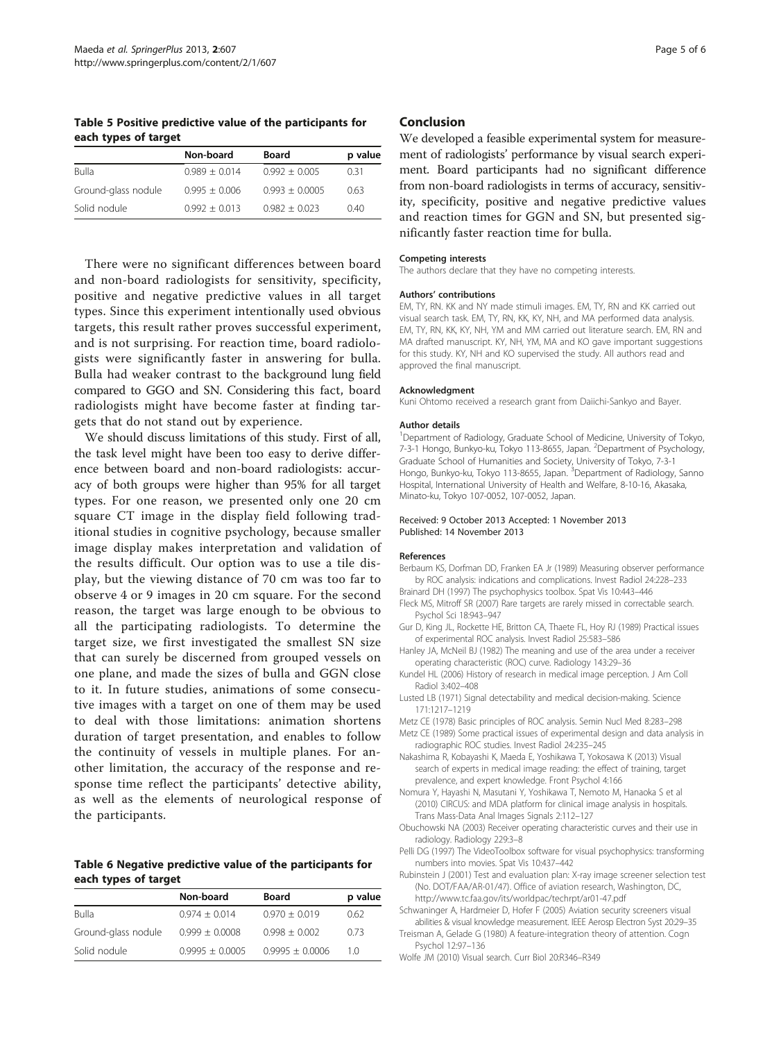<span id="page-4-0"></span>Table 5 Positive predictive value of the participants for each types of target

|                     | Non-board       | <b>Board</b>     | p value |
|---------------------|-----------------|------------------|---------|
| Bulla               | $0.989 + 0.014$ | $0.992 + 0.005$  | 0.31    |
| Ground-glass nodule | $0.995 + 0.006$ | $0.993 + 0.0005$ | 0.63    |
| Solid nodule        | $0.992 + 0.013$ | $0.982 + 0.023$  | 0.40    |

There were no significant differences between board and non-board radiologists for sensitivity, specificity, positive and negative predictive values in all target types. Since this experiment intentionally used obvious targets, this result rather proves successful experiment, and is not surprising. For reaction time, board radiologists were significantly faster in answering for bulla. Bulla had weaker contrast to the background lung field compared to GGO and SN. Considering this fact, board radiologists might have become faster at finding targets that do not stand out by experience.

We should discuss limitations of this study. First of all, the task level might have been too easy to derive difference between board and non-board radiologists: accuracy of both groups were higher than 95% for all target types. For one reason, we presented only one 20 cm square CT image in the display field following traditional studies in cognitive psychology, because smaller image display makes interpretation and validation of the results difficult. Our option was to use a tile display, but the viewing distance of 70 cm was too far to observe 4 or 9 images in 20 cm square. For the second reason, the target was large enough to be obvious to all the participating radiologists. To determine the target size, we first investigated the smallest SN size that can surely be discerned from grouped vessels on one plane, and made the sizes of bulla and GGN close to it. In future studies, animations of some consecutive images with a target on one of them may be used to deal with those limitations: animation shortens duration of target presentation, and enables to follow the continuity of vessels in multiple planes. For another limitation, the accuracy of the response and response time reflect the participants' detective ability, as well as the elements of neurological response of the participants.

## Table 6 Negative predictive value of the participants for each types of target

|                     | Non-board         | Board             | p value |
|---------------------|-------------------|-------------------|---------|
| Bulla               | $0.974 + 0.014$   | $0.970 + 0.019$   | 0.62    |
| Ground-glass nodule | $0.999 + 0.0008$  | $0.998 + 0.002$   | 0.73    |
| Solid nodule        | $0.9995 + 0.0005$ | $0.9995 + 0.0006$ | 1 0     |

#### Conclusion

We developed a feasible experimental system for measurement of radiologists' performance by visual search experiment. Board participants had no significant difference from non-board radiologists in terms of accuracy, sensitivity, specificity, positive and negative predictive values and reaction times for GGN and SN, but presented significantly faster reaction time for bulla.

#### Competing interests

The authors declare that they have no competing interests.

#### Authors' contributions

EM, TY, RN. KK and NY made stimuli images. EM, TY, RN and KK carried out visual search task. EM, TY, RN, KK, KY, NH, and MA performed data analysis. EM, TY, RN, KK, KY, NH, YM and MM carried out literature search. EM, RN and MA drafted manuscript. KY, NH, YM, MA and KO gave important suggestions for this study. KY, NH and KO supervised the study. All authors read and approved the final manuscript.

#### Acknowledgment

Kuni Ohtomo received a research grant from Daiichi-Sankyo and Bayer.

#### Author details

<sup>1</sup>Department of Radiology, Graduate School of Medicine, University of Tokyo, 7-3-1 Hongo, Bunkyo-ku, Tokyo 113-8655, Japan. <sup>2</sup>Department of Psychology, Graduate School of Humanities and Society, University of Tokyo, 7-3-1 Hongo, Bunkyo-ku, Tokyo 113-8655, Japan. <sup>3</sup>Department of Radiology, Sanno Hospital, International University of Health and Welfare, 8-10-16, Akasaka, Minato-ku, Tokyo 107-0052, 107-0052, Japan.

#### Received: 9 October 2013 Accepted: 1 November 2013 Published: 14 November 2013

#### References

- Berbaum KS, Dorfman DD, Franken EA Jr (1989) Measuring observer performance by ROC analysis: indications and complications. Invest Radiol 24:228–233
- Brainard DH (1997) The psychophysics toolbox. Spat Vis 10:443–446 Fleck MS, Mitroff SR (2007) Rare targets are rarely missed in correctable search. Psychol Sci 18:943–947
- Gur D, King JL, Rockette HE, Britton CA, Thaete FL, Hoy RJ (1989) Practical issues of experimental ROC analysis. Invest Radiol 25:583–586
- Hanley JA, McNeil BJ (1982) The meaning and use of the area under a receiver operating characteristic (ROC) curve. Radiology 143:29–36
- Kundel HL (2006) History of research in medical image perception. J Am Coll Radiol 3:402–408
- Lusted LB (1971) Signal detectability and medical decision-making. Science 171:1217–1219
- Metz CE (1978) Basic principles of ROC analysis. Semin Nucl Med 8:283–298
- Metz CE (1989) Some practical issues of experimental design and data analysis in radiographic ROC studies. Invest Radiol 24:235–245
- Nakashima R, Kobayashi K, Maeda E, Yoshikawa T, Yokosawa K (2013) Visual search of experts in medical image reading: the effect of training, target prevalence, and expert knowledge. Front Psychol 4:166
- Nomura Y, Hayashi N, Masutani Y, Yoshikawa T, Nemoto M, Hanaoka S et al (2010) CIRCUS: and MDA platform for clinical image analysis in hospitals. Trans Mass-Data Anal Images Signals 2:112–127
- Obuchowski NA (2003) Receiver operating characteristic curves and their use in radiology. Radiology 229:3–8
- Pelli DG (1997) The VideoToolbox software for visual psychophysics: transforming numbers into movies. Spat Vis 10:437–442
- Rubinstein J (2001) Test and evaluation plan: X-ray image screener selection test (No. DOT/FAA/AR-01/47). Office of aviation research, Washington, DC, <http://www.tc.faa.gov/its/worldpac/techrpt/ar01-47.pdf>
- Schwaninger A, Hardmeier D, Hofer F (2005) Aviation security screeners visual abilities & visual knowledge measurement. IEEE Aerosp Electron Syst 20:29–35
- Treisman A, Gelade G (1980) A feature-integration theory of attention. Cogn Psychol 12:97–136
- Wolfe JM (2010) Visual search. Curr Biol 20:R346–R349